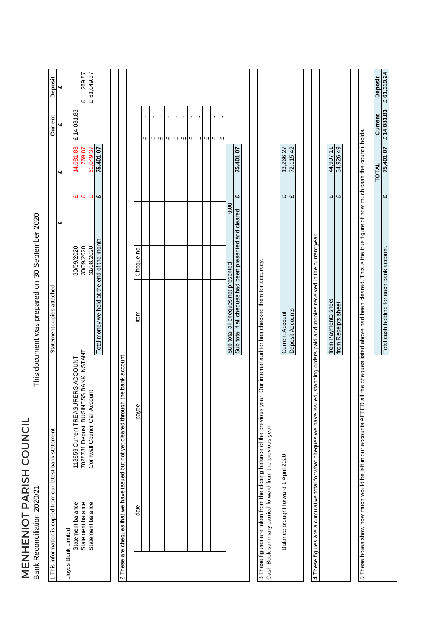MENHENIOT PARISH COUNCIL<br>Bank Reconciliation 2020/21 MENHENIOT PARISH COUNCIL Bank Reconciliation 2020/21

This document was prepared on 30 September 2020 30 September 2020 This document was prepared on

| 1 This information is copied from our latest bank statement    |                                                                                                                                                                                          | Statement copies attached                               |                          |                         |                     | Current                       | <b>Deposit</b>          |
|----------------------------------------------------------------|------------------------------------------------------------------------------------------------------------------------------------------------------------------------------------------|---------------------------------------------------------|--------------------------|-------------------------|---------------------|-------------------------------|-------------------------|
|                                                                |                                                                                                                                                                                          |                                                         |                          | 41                      | £                   | 4                             | 4                       |
| Statement balance<br>Statement balance<br>Lloyds Bank Limited: | 7028731 Deposit BUSINESS BANK INSTANT<br>118859 Current TREASURERS ACCOUNT                                                                                                               |                                                         | 30/09/2020<br>30/09/2020 | 41                      | 14,081.83<br>269.87 | £14,081.83                    |                         |
| Statement balance                                              | Cornwall Council Call Account                                                                                                                                                            |                                                         | 31/08/2020               | 44                      | 61,049.37           |                               | £ 269.87<br>£ 61,049.37 |
|                                                                |                                                                                                                                                                                          | Total money we held at the end of the month             |                          | $\overline{\mathbf{u}}$ | 75,401.07           |                               |                         |
|                                                                | 2 These are cheques that we have issued but not yet cleared through the bank account                                                                                                     |                                                         |                          |                         |                     |                               |                         |
| date                                                           | payee                                                                                                                                                                                    | Item                                                    | Cheque no                |                         |                     |                               |                         |
|                                                                |                                                                                                                                                                                          |                                                         |                          |                         |                     | 41                            |                         |
|                                                                |                                                                                                                                                                                          |                                                         |                          |                         |                     | $\blacksquare$<br>ω           |                         |
|                                                                |                                                                                                                                                                                          |                                                         |                          |                         |                     | ı<br>4l                       |                         |
|                                                                |                                                                                                                                                                                          |                                                         |                          |                         |                     | $\blacksquare$<br>Щ           |                         |
|                                                                |                                                                                                                                                                                          |                                                         |                          |                         |                     | f,<br>$\overline{\mathbf{u}}$ |                         |
|                                                                |                                                                                                                                                                                          |                                                         |                          |                         |                     | $\blacksquare$<br>Цl          |                         |
|                                                                |                                                                                                                                                                                          |                                                         |                          |                         |                     | $\blacksquare$<br>Щ           |                         |
|                                                                |                                                                                                                                                                                          |                                                         |                          |                         |                     | $\blacksquare$<br><b>G</b>    |                         |
|                                                                |                                                                                                                                                                                          |                                                         |                          |                         |                     | 41                            |                         |
|                                                                |                                                                                                                                                                                          |                                                         |                          |                         |                     | $\blacksquare$<br>Щ           |                         |
|                                                                |                                                                                                                                                                                          |                                                         |                          |                         |                     | Щ                             |                         |
|                                                                |                                                                                                                                                                                          | Sub total all cheques not presented                     |                          | 0.00                    |                     |                               |                         |
|                                                                |                                                                                                                                                                                          | Sub total if all cheques had been presented and cleared |                          | 4                       | 75,401.07           |                               |                         |
|                                                                | 3 These figures are taken from the closing balance of the previous year. Our internal auditor has checked them for accuracy<br>Cash Book summary carried forward from the previous year. |                                                         |                          |                         |                     |                               |                         |
|                                                                |                                                                                                                                                                                          |                                                         |                          |                         |                     |                               |                         |
| Balance brought forward 1 April 2020                           |                                                                                                                                                                                          | <b>Current Account</b>                                  |                          | $\overline{\mathbf{u}}$ | 13,266.27           |                               |                         |
|                                                                |                                                                                                                                                                                          | Deposit Accounts                                        |                          | 41                      | 72,115.42           |                               |                         |
|                                                                |                                                                                                                                                                                          |                                                         |                          |                         |                     |                               |                         |
|                                                                | 4 These figures are a cumulative total for what cheques we have issued, standing orders paid and monies received in the current year.                                                    |                                                         |                          |                         |                     |                               |                         |
|                                                                |                                                                                                                                                                                          | from Payments sheet                                     |                          | $\ddot{\mathbf{r}}$     | 44,907.11           |                               |                         |
|                                                                |                                                                                                                                                                                          | from Receipts sheet                                     |                          | $\omega$                | 34,926.49           |                               |                         |
|                                                                |                                                                                                                                                                                          |                                                         |                          |                         |                     |                               |                         |
|                                                                | 5 These boxes show how much would be left in our accounts AFTER all the cheques listed above had been cleared. This is the true figure of how much cash the council holds.               |                                                         |                          |                         |                     |                               |                         |
|                                                                |                                                                                                                                                                                          |                                                         |                          |                         | <b>TOTAL</b>        | Current                       | <b>Deposit</b>          |
|                                                                |                                                                                                                                                                                          | Total cash holding for each bank account.               |                          | $\overline{\mathbf{u}}$ | 75,401.07           | £14,081.83                    | £61,319.24              |
|                                                                |                                                                                                                                                                                          |                                                         |                          |                         |                     |                               |                         |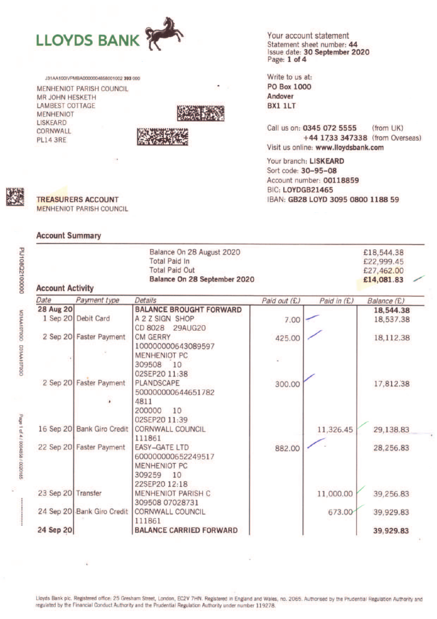

J31AA100IVPMBA0000004858001002 393 000

MENHENIOT PARISH COUNCIL **MR JOHN HESKETH LAMBEST COTTAGE MENHENIOT LISKEARD** CORNWALL **PL14 3RE** 





Your account statement Statement sheet number: 44 Issue date: 30 September 2020 Page: 1 of 4

Write to us at: **PO Box 1000** Andover **BX1 1LT** 

Call us on: 0345 072 5555 (from UK) +44 1733 347338 (from Overseas) Visit us online: www.lloydsbank.com

Your branch: LISKEARD Sort code: 30-95-08 Account number: 00118859 BIC: LOYDGB21465 IBAN: GB28 LOYD 3095 0800 1188 59



**PLJ108Q2100000** 

M31AA1070GO D31AA1070GO

Page 1 of 4 / 0004858 / 0020185

**TREASURERS ACCOUNT MENHENIOT PARISH COUNCIL** 

### **Account Summary**

| Balance On 28 August 2020<br><b>Total Paid In</b><br><b>Total Paid Out</b><br>Balance On 28 September 2020<br><b>Account Activity</b> |                            |                                            |              |             |             |  |
|---------------------------------------------------------------------------------------------------------------------------------------|----------------------------|--------------------------------------------|--------------|-------------|-------------|--|
| Date                                                                                                                                  | Payment type               | Details                                    | Paid out (£) | Paid in (£) | Balance (£) |  |
| <b>28 Aug 20</b>                                                                                                                      |                            | <b>BALANCE BROUGHT FORWARD</b>             |              |             | 18,544.38   |  |
|                                                                                                                                       | 1 Sep 20 Debit Card        | A 2 Z SIGN SHOP                            | 7.00         |             | 18,537.38   |  |
|                                                                                                                                       |                            | CD 8028<br><b>29AUG20</b>                  |              |             |             |  |
|                                                                                                                                       | 2 Sep 20 Faster Payment    | <b>CM GERRY</b>                            | 425.00       |             | 18,112.38   |  |
|                                                                                                                                       |                            | 100000000643089597                         |              |             |             |  |
|                                                                                                                                       |                            | <b>MENHENIOT PC</b>                        |              |             |             |  |
|                                                                                                                                       |                            | 309508<br>10<br>02SEP20 11:38              |              |             |             |  |
|                                                                                                                                       | 2 Sep 20 Faster Payment    | <b>PLANDSCAPE</b>                          |              |             |             |  |
|                                                                                                                                       |                            | 500000000644651782                         | 300.00       |             | 17,812.38   |  |
|                                                                                                                                       |                            | 4811                                       |              |             |             |  |
|                                                                                                                                       |                            | 200000<br>10                               |              |             |             |  |
|                                                                                                                                       |                            | 02SEP20 11:39                              |              |             |             |  |
|                                                                                                                                       | 16 Sep 20 Bank Giro Credit | <b>CORNWALL COUNCIL</b>                    |              | 11,326.45   | 29,138.83   |  |
|                                                                                                                                       |                            | 111861                                     |              |             |             |  |
|                                                                                                                                       | 22 Sep 20 Faster Payment   | <b>EASY-GATE LTD</b>                       | 882.00       |             | 28,256.83   |  |
|                                                                                                                                       |                            | 600000000652249517                         |              |             |             |  |
|                                                                                                                                       |                            | <b>MENHENIOT PC</b>                        |              |             |             |  |
|                                                                                                                                       | 309259<br>10               |                                            |              |             |             |  |
|                                                                                                                                       |                            | 22SEP20 12:18                              |              |             |             |  |
| 23 Sep 20 Transfer                                                                                                                    |                            | <b>MENHENIOT PARISH C</b>                  |              | 11,000.00   | 39,256.83   |  |
|                                                                                                                                       | 24 Sep 20 Bank Giro Credit | 309508 07028731<br><b>CORNWALL COUNCIL</b> |              | 673.00      |             |  |
|                                                                                                                                       |                            | 111861                                     |              |             | 39,929.83   |  |
| 24 Sep 20                                                                                                                             |                            | <b>BALANCE CARRIED FORWARD</b>             |              |             | 39,929.83   |  |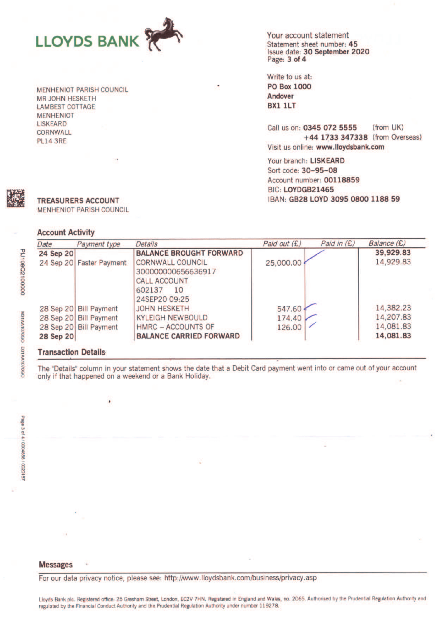

**MENHENIOT PARISH COUNCIL MR JOHN HESKETH LAMBEST COTTAGE MENHENIOT LISKEARD** CORNWALL **PL14 3RE** 

Your account statement Statement sheet number: 45 Issue date: 30 September 2020 Page: 3 of 4

Write to us at: **PO Box 1000** Andover **BX1 1LT** 

(from UK) Call us on: 0345 072 5555 +44 1733 347338 (from Overseas) Visit us online: www.lloydsbank.com

Your branch: LISKEARD Sort code: 30-95-08 Account number: 00118859 BIC: LOYDGB21465 IBAN: GB28 LOYD 3095 0800 1188 59

| Payment type             | Details                                                              | Paid out (£)                  | Paid in $(E)$ | Balance (£) |
|--------------------------|----------------------------------------------------------------------|-------------------------------|---------------|-------------|
| 24 Sep 20                | <b>BALANCE BROUGHT FORWARD</b>                                       |                               |               | 39,929.83   |
| 24 Sep 20 Faster Payment | <b>CORNWALL COUNCIL</b><br>300000000656636917<br><b>CALL ACCOUNT</b> | 25,000.00                     |               | 14,929.83   |
|                          |                                                                      |                               |               |             |
|                          | <b>JOHN HESKETH</b>                                                  |                               |               | 14,382.23   |
| 28 Sep 20 Bill Payment   | <b>KYLEIGH NEWBOULD</b>                                              | 174.40                        |               | 14,207.83   |
| 28 Sep 20 Bill Payment   | <b>HMRC - ACCOUNTS OF</b>                                            | 126.00                        |               | 14,081.83   |
| 28 Sep 20                | <b>BALANCE CARRIED FORWARD</b>                                       |                               |               | 14,081.83   |
|                          | 28 Sep 20 Bill Payment                                               | 602137<br>10<br>24SEP20 09:25 | 547.60        |             |

# **Transaction Details**

 $\cdot$ 

The "Details" column in your statement shows the date that a Debit Card payment went into or came out of your account only if that happened on a weekend or a Bank Holiday.

#### **Messages**

For our data privacy notice, please see: http://www.lloydsbank.com/business/privacy.asp

Lloyds Bank plc. Registered office: 25 Gresham Street, London, EC2V 7HN. Registered in England and Wales, no. 2065. Authorised by the Prudential Regulation Authority and regulated by the Financial Conduct Authority and the Prudential Regulation Authority under number 119278.

**TREASURERS ACCOUNT** MENHENIOT PARISH COUNCIL

## Account Activities